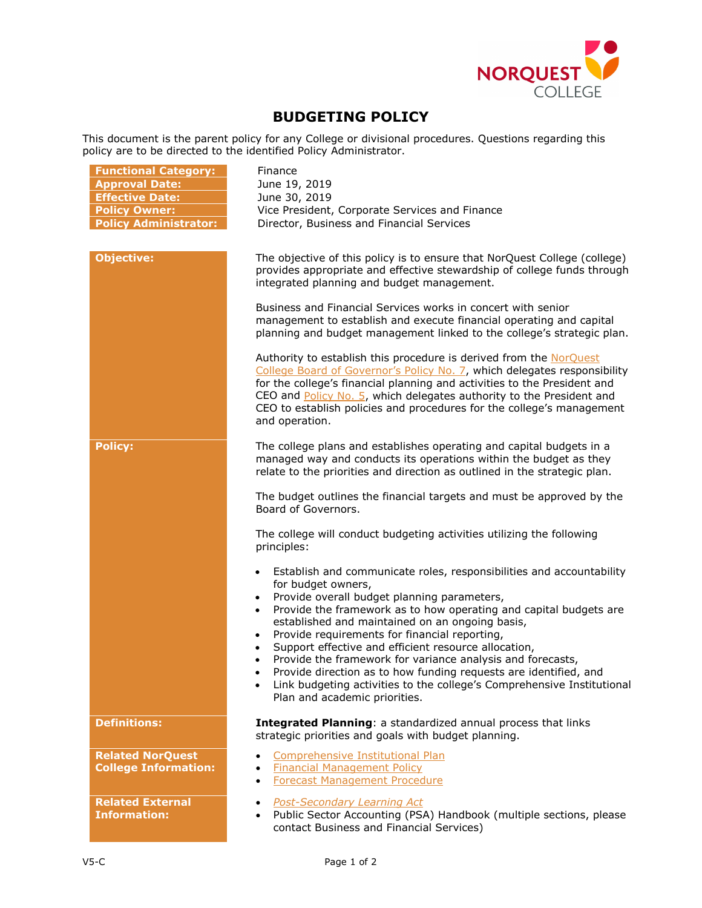

## **BUDGETING POLICY**

This document is the parent policy for any College or divisional procedures. Questions regarding this policy are to be directed to the identified Policy Administrator.

| <b>Functional Category:</b><br><b>Approval Date:</b><br><b>Effective Date:</b><br><b>Policy Owner:</b><br><b>Policy Administrator:</b> | Finance<br>June 19, 2019<br>June 30, 2019<br>Vice President, Corporate Services and Finance<br>Director, Business and Financial Services                                                                                                                                                                                                                                                                                                                                                                                                                                                                                                                                    |
|----------------------------------------------------------------------------------------------------------------------------------------|-----------------------------------------------------------------------------------------------------------------------------------------------------------------------------------------------------------------------------------------------------------------------------------------------------------------------------------------------------------------------------------------------------------------------------------------------------------------------------------------------------------------------------------------------------------------------------------------------------------------------------------------------------------------------------|
| <b>Objective:</b>                                                                                                                      | The objective of this policy is to ensure that NorQuest College (college)<br>provides appropriate and effective stewardship of college funds through<br>integrated planning and budget management.                                                                                                                                                                                                                                                                                                                                                                                                                                                                          |
|                                                                                                                                        | Business and Financial Services works in concert with senior<br>management to establish and execute financial operating and capital<br>planning and budget management linked to the college's strategic plan.                                                                                                                                                                                                                                                                                                                                                                                                                                                               |
|                                                                                                                                        | Authority to establish this procedure is derived from the NorQuest<br>College Board of Governor's Policy No. 7, which delegates responsibility<br>for the college's financial planning and activities to the President and<br>CEO and Policy No. 5, which delegates authority to the President and<br>CEO to establish policies and procedures for the college's management<br>and operation.                                                                                                                                                                                                                                                                               |
| <b>Policy:</b>                                                                                                                         | The college plans and establishes operating and capital budgets in a<br>managed way and conducts its operations within the budget as they<br>relate to the priorities and direction as outlined in the strategic plan.                                                                                                                                                                                                                                                                                                                                                                                                                                                      |
|                                                                                                                                        | The budget outlines the financial targets and must be approved by the<br>Board of Governors.                                                                                                                                                                                                                                                                                                                                                                                                                                                                                                                                                                                |
|                                                                                                                                        | The college will conduct budgeting activities utilizing the following<br>principles:                                                                                                                                                                                                                                                                                                                                                                                                                                                                                                                                                                                        |
|                                                                                                                                        | Establish and communicate roles, responsibilities and accountability<br>for budget owners,<br>Provide overall budget planning parameters,<br>$\bullet$<br>Provide the framework as to how operating and capital budgets are<br>$\bullet$<br>established and maintained on an ongoing basis,<br>Provide requirements for financial reporting,<br>$\bullet$<br>Support effective and efficient resource allocation,<br>Provide the framework for variance analysis and forecasts,<br>Provide direction as to how funding requests are identified, and<br>Link budgeting activities to the college's Comprehensive Institutional<br>$\bullet$<br>Plan and academic priorities. |
| <b>Definitions:</b>                                                                                                                    | Integrated Planning: a standardized annual process that links<br>strategic priorities and goals with budget planning.                                                                                                                                                                                                                                                                                                                                                                                                                                                                                                                                                       |
| <b>Related NorQuest</b><br><b>College Information:</b>                                                                                 | Comprehensive Institutional Plan<br><b>Financial Management Policy</b><br>$\bullet$<br><b>Forecast Management Procedure</b><br>$\bullet$                                                                                                                                                                                                                                                                                                                                                                                                                                                                                                                                    |
| <b>Related External</b><br><b>Information:</b>                                                                                         | <b>Post-Secondary Learning Act</b><br>$\bullet$<br>Public Sector Accounting (PSA) Handbook (multiple sections, please<br>$\bullet$<br>contact Business and Financial Services)                                                                                                                                                                                                                                                                                                                                                                                                                                                                                              |